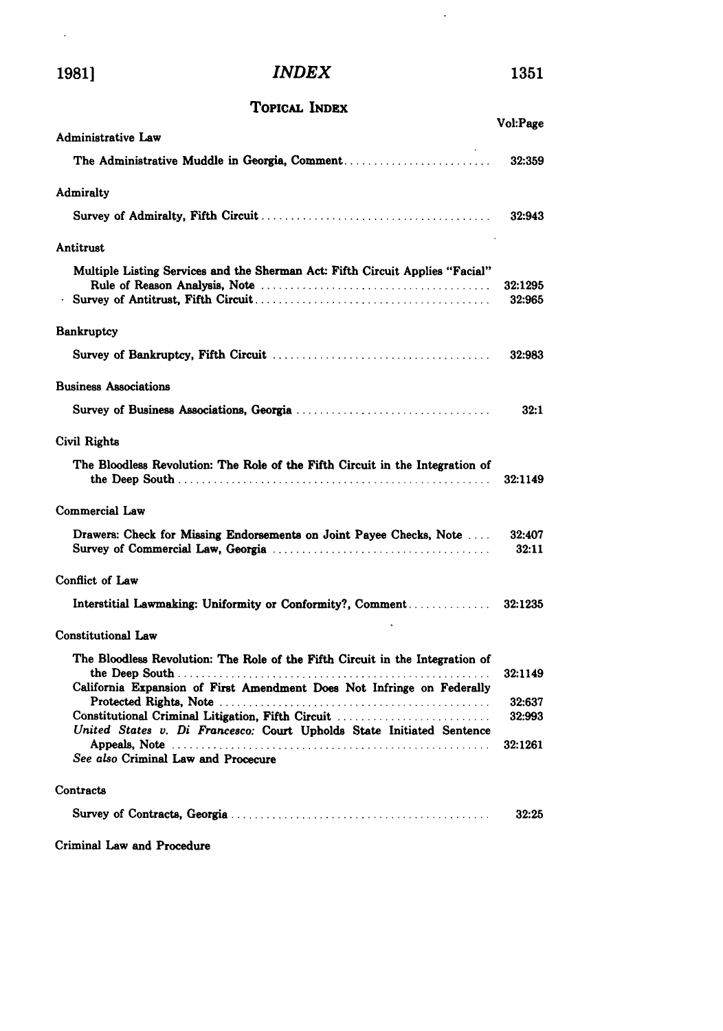$\mathcal{A}^{\text{max}}_{\text{max}}$ 

## **1981]** *INDEX* **1351**

 $\hat{\mathcal{A}}$ 

## **ToPicAL INDEX**

| Administrative Law                                                                                                         | Vol:Page          |
|----------------------------------------------------------------------------------------------------------------------------|-------------------|
|                                                                                                                            | 32:359            |
|                                                                                                                            |                   |
| <b>Admiralty</b>                                                                                                           |                   |
|                                                                                                                            | 32:943            |
| Antitrust                                                                                                                  |                   |
| Multiple Listing Services and the Sherman Act: Fifth Circuit Applies "Facial"                                              | 32:1295<br>32:965 |
| Bankruptcy                                                                                                                 |                   |
|                                                                                                                            | 32:983            |
| <b>Business Associations</b>                                                                                               |                   |
|                                                                                                                            | 32:1              |
| Civil Rights                                                                                                               |                   |
| The Bloodless Revolution: The Role of the Fifth Circuit in the Integration of                                              | 32:1149           |
| Commercial Law                                                                                                             |                   |
| Drawers: Check for Missing Endorsements on Joint Payee Checks, Note                                                        | 32:407<br>32:11   |
| Conflict of Law                                                                                                            |                   |
|                                                                                                                            |                   |
| <b>Constitutional Law</b>                                                                                                  |                   |
| The Bloodless Revolution: The Role of the Fifth Circuit in the Integration of                                              | 32:1149           |
| California Expansion of First Amendment Does Not Infringe on Federally                                                     | 32:637            |
| Constitutional Criminal Litigation, Fifth Circuit<br>United States v. Di Francesco: Court Upholds State Initiated Sentence | 32:993            |
| See also Criminal Law and Procecure                                                                                        | 32:1261           |
| Contracts                                                                                                                  |                   |
|                                                                                                                            | 32:25             |
| Criminal Law and Procedure                                                                                                 |                   |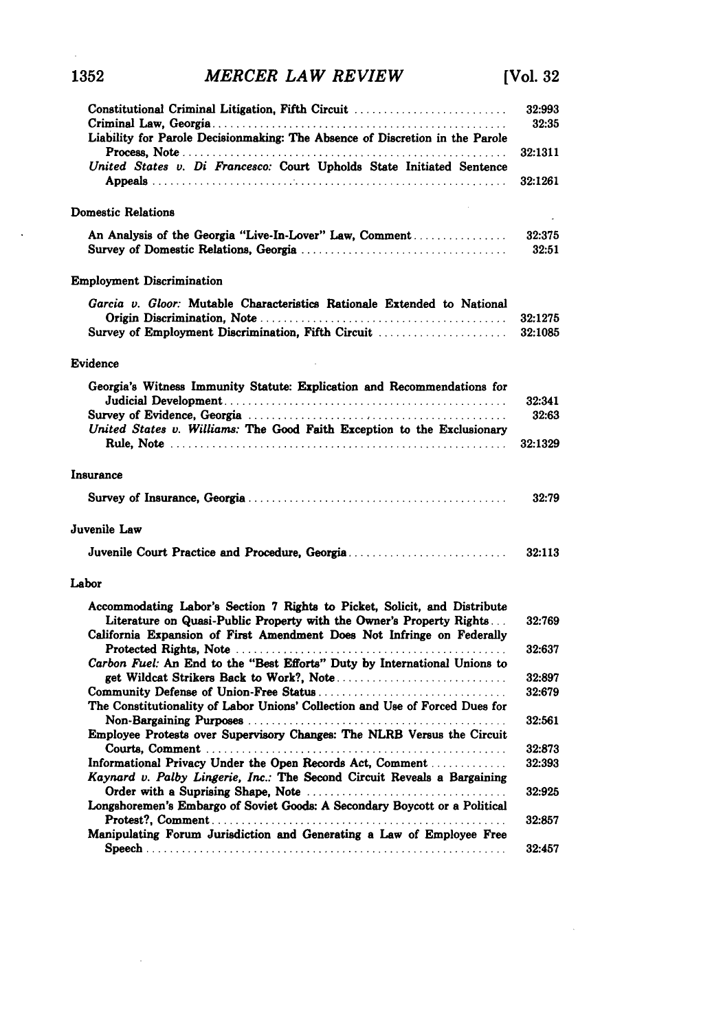## Constitutional Criminal Litigation, Fifth Circuit .......................... **32:993** Crim inal Law, Georgia .................................................. **32:35** Liability for Parole Decisionmaking: The Absence of Discretion in the Parole P rocess, N ote **.................................. .................... 32:1311** *United States v. Di Francesco:* Court Upholds State Initiated Sentence A ppeals **............................................................ 32:1261** Domestic Relations An Analysis of the Georgia "Live-In-Lover" Law, Comment **................ 32:375** Survey of Domestic Relations, Georgia ................................... **32:51** Employment Discrimination *Garcia v. Gloor:* Mutable Characteristics Rationale Extended to National Origin Discrim ination, Note .......................................... **32:1275** Survey of Employment Discrimination, Fifth Circuit .................... **32:1085** Evidence Georgia's Witness Immunity Statute: Explication and Recommendations for Judicial Developm ent **...............................................** 32:341 Survey of Evidence, Georgia **...................................... 32:63** *United States v. Williams:* The Good Faith Exception to the Exclusionary R ule, N ote ......................................................... **32:1329** Insurance Survey of Insurance, Georgia ............................................ **32:79** Juvenile Law Juvenile Court Practice and Procedure, Georgia ........................... **32:113** Labor Accommodating Labor's Section **7** Rights to Picket, Solicit, and Distribute Literature on Quasi-Public Property with the Owner's Property Rights... **32:769** California Expansion of First Amendment Does Not Infringe on Federally Protected Rights, Note **.............................................. 32:637** *Carbon Fuel:* An End to the "Best Efforts" Duty **by** International Unions to get Wildcat Strikers Back to Work?, Note ............................. **32:897** Community Defense of Union-Free Status ................................ **32:679** The Constitutionality of Labor Unions' Collection and Use of Forced Dues for Non-Bargaining Purposes **............................... ............ 32:561** Employee Protests over Supervisory Changes: The NLRB Versus the Circuit Courts, Com m ent **................................................... 32:873** Informational Privacy Under the Open Records Act, Comment **............. 32:393** *Kaynard v. Palby Lingerie, Inc.:* The Second Circuit Reveals a Bargaining Order with a Suprising Shape, Note **.................................. 32:925** Longshoremen's Embargo of Soviet Good& **A** Secondary Boycott or a Political Protest?, Com m ent .................................................. **32:857** Manipulating Forum Jurisdiction and Generating a Law of Employee Free S peech ............................................................. **32:457**

**1352** *MERCER LAW REVIEW* [Vol. **32**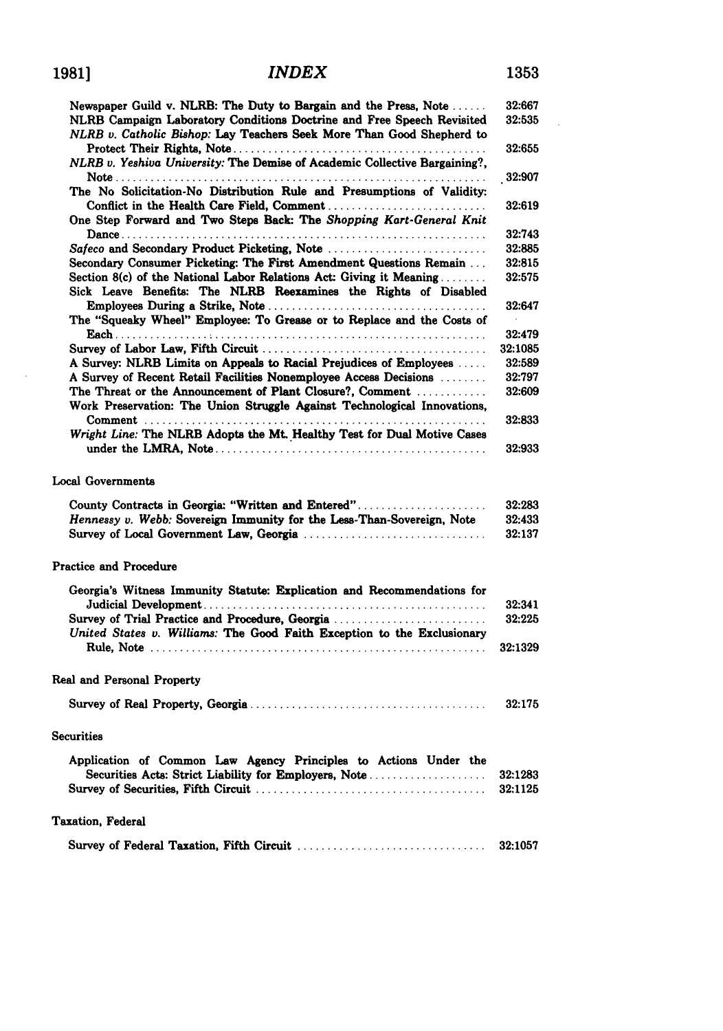$\bar{z}$ 

## **INDEX**

| Newspaper Guild v. NLRB: The Duty to Bargain and the Press, Note                                                                                | 32:667  |
|-------------------------------------------------------------------------------------------------------------------------------------------------|---------|
| NLRB Campaign Laboratory Conditions Doctrine and Free Speech Revisited<br>NLRB v. Catholic Bishop: Lay Teachers Seek More Than Good Shepherd to | 32:535  |
| NLRB v. Yeshiva University: The Demise of Academic Collective Bargaining?,                                                                      | 32:655  |
|                                                                                                                                                 | 32:907  |
| The No Solicitation-No Distribution Rule and Presumptions of Validity:                                                                          | 32:619  |
| One Step Forward and Two Steps Back: The Shopping Kart-General Knit                                                                             |         |
|                                                                                                                                                 | 32:743  |
| Safeco and Secondary Product Picketing, Note                                                                                                    | 32:885  |
| Secondary Consumer Picketing: The First Amendment Questions Remain                                                                              | 32:815  |
| Section 8(c) of the National Labor Relations Act: Giving it Meaning<br>Sick Leave Benefits: The NLRB Reexamines the Rights of Disabled          | 32:575  |
|                                                                                                                                                 | 32:647  |
| The "Squeaky Wheel" Employee: To Grease or to Replace and the Costs of                                                                          |         |
|                                                                                                                                                 | 32:479  |
|                                                                                                                                                 | 32:1085 |
| A Survey: NLRB Limits on Appeals to Racial Prejudices of Employees                                                                              | 32:589  |
| A Survey of Recent Retail Facilities Nonemployee Access Decisions                                                                               | 32:797  |
| The Threat or the Announcement of Plant Closure?, Comment<br>Work Preservation: The Union Struggle Against Technological Innovations,           | 32:609  |
| Wright Line: The NLRB Adopts the Mt. Healthy Test for Dual Motive Cases                                                                         | 32:833  |
|                                                                                                                                                 | 32:933  |
| Local Governments<br>County Contracts in Georgia: "Written and Entered"                                                                         | 32:283  |
| Hennessy v. Webb: Sovereign Immunity for the Less-Than-Sovereign, Note                                                                          | 32:433  |
| Survey of Local Government Law, Georgia                                                                                                         | 32:137  |
| <b>Practice and Procedure</b>                                                                                                                   |         |
| Georgia's Witness Immunity Statute: Explication and Recommendations for                                                                         |         |
|                                                                                                                                                 | 32:341  |
| Survey of Trial Practice and Procedure, Georgia<br>United States v. Williams: The Good Faith Exception to the Exclusionary                      | 32:225  |
|                                                                                                                                                 | 32:1329 |
| Real and Personal Property                                                                                                                      |         |
|                                                                                                                                                 | 32:175  |
| <b>Securities</b>                                                                                                                               |         |
| Application of Common Law Agency Principles to Actions Under the                                                                                |         |
| Securities Acts: Strict Liability for Employers, Note                                                                                           | 32:1283 |
|                                                                                                                                                 | 32:1125 |
| <b>Taxation, Federal</b>                                                                                                                        |         |
|                                                                                                                                                 | 32:1057 |
|                                                                                                                                                 |         |